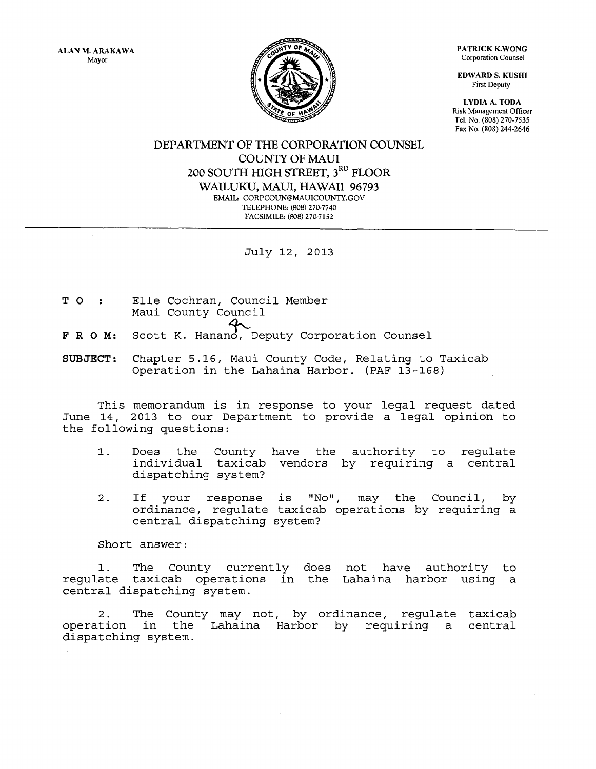PATRICK K.WONG Corporation Counsel

EDWARD S. KUSHJ First Deputy

LYDIA A. TODA Risk Management Officer Tel. No. (808) 270-7535 Fax No. (808) 244-2646



## DEPARTMENT OF THE CORPORATION COUNSEL COUNTY OF MAUl 200 SOUTH HIGH STREET,  $3^{RD}$  FLOOR WAILUKU, MAUl, HAWAII 96793 EMAIL: CORPCOUN@MAUICOUNTY.GOV TELEPHONE: (808) 270·7740 FACSIMILE: (808) 270-7152

## July 12, 2013

- **T 0**  Elle Cochran, Council Member Maui County Council
- **F R 0 M:**  Scott K. Hanano, Deputy Corporation Counsel
- **SUBJECT:** Chapter 5.16, Maui County Code, Relating to Taxicab Operation in the Lahaina Harbor. (PAF 13-168)

This memorandum is in response to your legal request dated June 14, 2013 to our Department to provide a legal opinion to the following questions:

- 1. Does the County have the authority to regulate individual taxicab vendors by requiring a central dispatching system?
- 2. If your response is "No", may the Council, by ordinance, regulate taxicab operations by requiring a central dispatching system?

Short answer:

1. The County currently regulate taxicab operations in central dispatching system. does the not have authority to Lahaina harbor using a

2. The County may not, by ordinance, regulate taxicab operation in the Lahaina Harbor by requiring a central dispatching system.